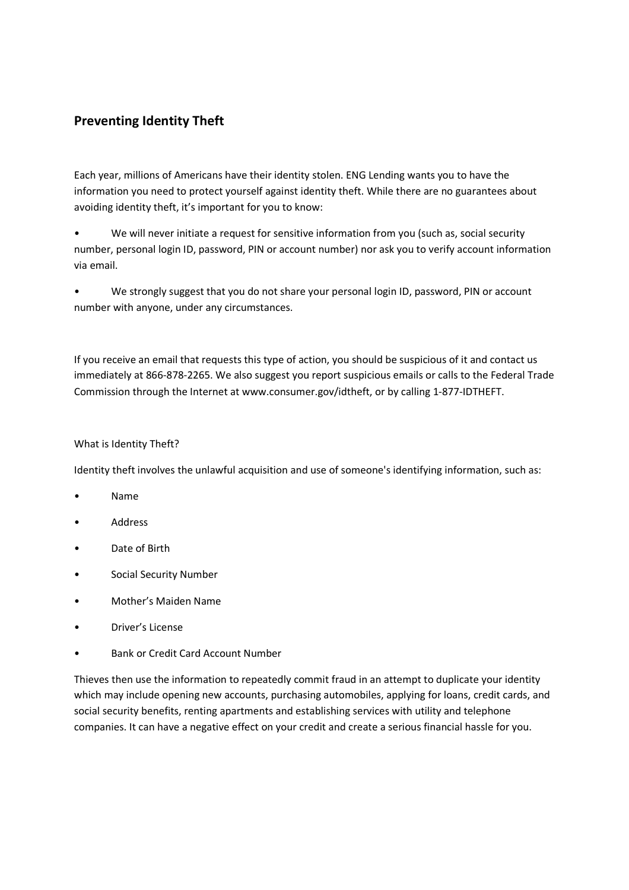## **Preventing Identity Theft**

Each year, millions of Americans have their identity stolen. ENG Lending wants you to have the information you need to protect yourself against identity theft. While there are no guarantees about avoiding identity theft, it's important for you to know:

• We will never initiate a request for sensitive information from you (such as, social security number, personal login ID, password, PIN or account number) nor ask you to verify account information via email.

• We strongly suggest that you do not share your personal login ID, password, PIN or account number with anyone, under any circumstances.

If you receive an email that requests this type of action, you should be suspicious of it and contact us immediately at 866-878-2265. We also suggest you report suspicious emails or calls to the Federal Trade Commission through the Internet at www.consumer.gov/idtheft, or by calling 1-877-IDTHEFT.

## What is Identity Theft?

Identity theft involves the unlawful acquisition and use of someone's identifying information, such as:

- Name
- **Address**
- Date of Birth
- Social Security Number
- Mother's Maiden Name
- Driver's License
- Bank or Credit Card Account Number

Thieves then use the information to repeatedly commit fraud in an attempt to duplicate your identity which may include opening new accounts, purchasing automobiles, applying for loans, credit cards, and social security benefits, renting apartments and establishing services with utility and telephone companies. It can have a negative effect on your credit and create a serious financial hassle for you.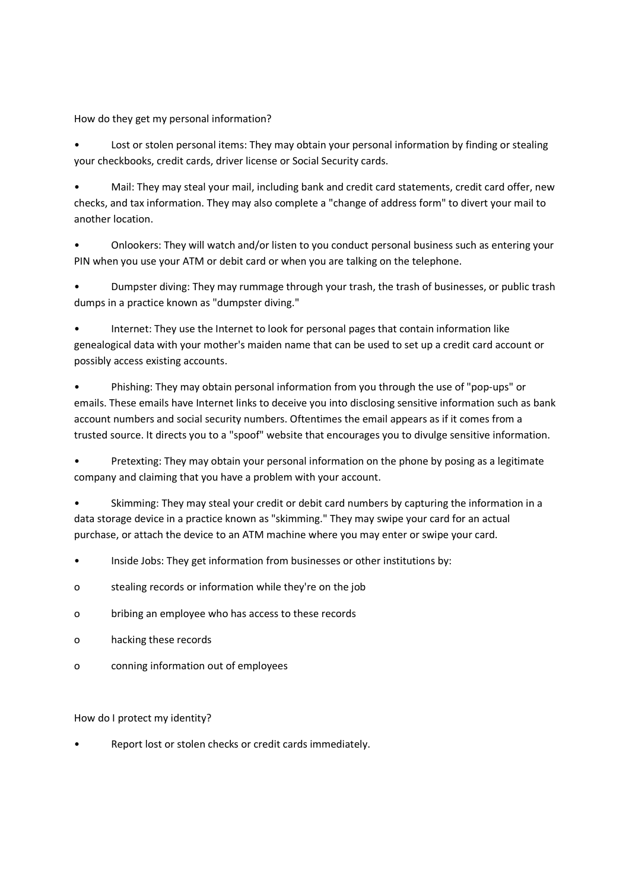How do they get my personal information?

Lost or stolen personal items: They may obtain your personal information by finding or stealing your checkbooks, credit cards, driver license or Social Security cards.

• Mail: They may steal your mail, including bank and credit card statements, credit card offer, new checks, and tax information. They may also complete a "change of address form" to divert your mail to another location.

• Onlookers: They will watch and/or listen to you conduct personal business such as entering your PIN when you use your ATM or debit card or when you are talking on the telephone.

• Dumpster diving: They may rummage through your trash, the trash of businesses, or public trash dumps in a practice known as "dumpster diving."

• Internet: They use the Internet to look for personal pages that contain information like genealogical data with your mother's maiden name that can be used to set up a credit card account or possibly access existing accounts.

• Phishing: They may obtain personal information from you through the use of "pop-ups" or emails. These emails have Internet links to deceive you into disclosing sensitive information such as bank account numbers and social security numbers. Oftentimes the email appears as if it comes from a trusted source. It directs you to a "spoof" website that encourages you to divulge sensitive information.

• Pretexting: They may obtain your personal information on the phone by posing as a legitimate company and claiming that you have a problem with your account.

Skimming: They may steal your credit or debit card numbers by capturing the information in a data storage device in a practice known as "skimming." They may swipe your card for an actual purchase, or attach the device to an ATM machine where you may enter or swipe your card.

- Inside Jobs: They get information from businesses or other institutions by:
- o stealing records or information while they're on the job
- o bribing an employee who has access to these records
- o hacking these records
- o conning information out of employees

How do I protect my identity?

Report lost or stolen checks or credit cards immediately.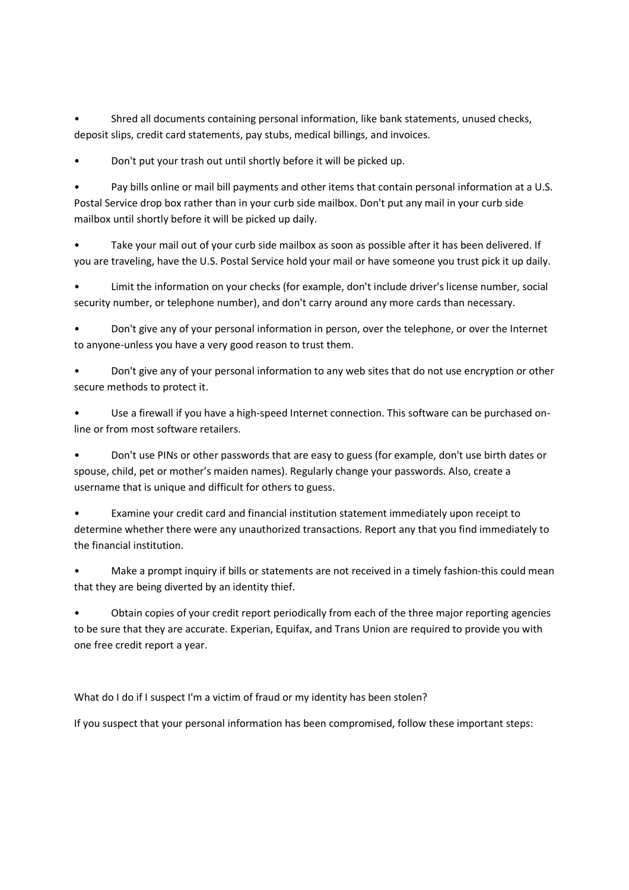• Shred all documents containing personal information, like bank statements, unused checks, deposit slips, credit card statements, pay stubs, medical billings, and invoices.

• Don't put your trash out until shortly before it will be picked up.

Pay bills online or mail bill payments and other items that contain personal information at a U.S. Postal Service drop box rather than in your curb side mailbox. Don't put any mail in your curb side mailbox until shortly before it will be picked up daily.

• Take your mail out of your curb side mailbox as soon as possible after it has been delivered. If you are traveling, have the U.S. Postal Service hold your mail or have someone you trust pick it up daily.

• Limit the information on your checks (for example, don't include driver's license number, social security number, or telephone number), and don't carry around any more cards than necessary.

• Don't give any of your personal information in person, over the telephone, or over the Internet to anyone-unless you have a very good reason to trust them.

• Don't give any of your personal information to any web sites that do not use encryption or other secure methods to protect it.

Use a firewall if you have a high-speed Internet connection. This software can be purchased online or from most software retailers.

• Don't use PINs or other passwords that are easy to guess (for example, don't use birth dates or spouse, child, pet or mother's maiden names). Regularly change your passwords. Also, create a username that is unique and difficult for others to guess.

• Examine your credit card and financial institution statement immediately upon receipt to determine whether there were any unauthorized transactions. Report any that you find immediately to the financial institution.

Make a prompt inquiry if bills or statements are not received in a timely fashion-this could mean that they are being diverted by an identity thief.

• Obtain copies of your credit report periodically from each of the three major reporting agencies to be sure that they are accurate. Experian, Equifax, and Trans Union are required to provide you with one free credit report a year.

What do I do if I suspect I'm a victim of fraud or my identity has been stolen?

If you suspect that your personal information has been compromised, follow these important steps: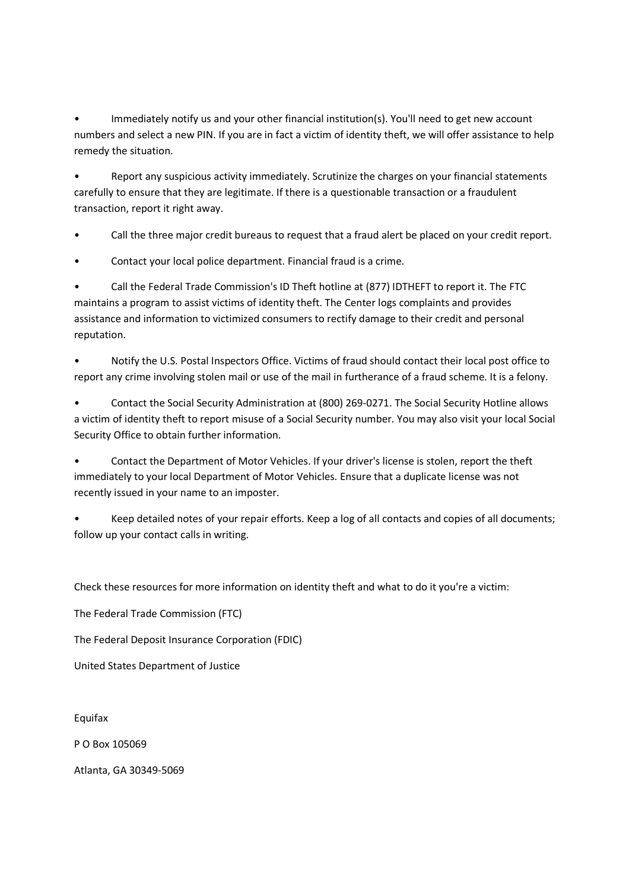• Immediately notify us and your other financial institution(s). You'll need to get new account numbers and select a new PIN. If you are in fact a victim of identity theft, we will offer assistance to help remedy the situation.

• Report any suspicious activity immediately. Scrutinize the charges on your financial statements carefully to ensure that they are legitimate. If there is a questionable transaction or a fraudulent transaction, report it right away.

Call the three major credit bureaus to request that a fraud alert be placed on your credit report.

• Contact your local police department. Financial fraud is a crime.

• Call the Federal Trade Commission's ID Theft hotline at (877) IDTHEFT to report it. The FTC maintains a program to assist victims of identity theft. The Center logs complaints and provides assistance and information to victimized consumers to rectify damage to their credit and personal reputation.

• Notify the U.S. Postal Inspectors Office. Victims of fraud should contact their local post office to report any crime involving stolen mail or use of the mail in furtherance of a fraud scheme. It is a felony.

• Contact the Social Security Administration at (800) 269-0271. The Social Security Hotline allows a victim of identity theft to report misuse of a Social Security number. You may also visit your local Social Security Office to obtain further information.

• Contact the Department of Motor Vehicles. If your driver's license is stolen, report the theft immediately to your local Department of Motor Vehicles. Ensure that a duplicate license was not recently issued in your name to an imposter.

• Keep detailed notes of your repair efforts. Keep a log of all contacts and copies of all documents; follow up your contact calls in writing.

Check these resources for more information on identity theft and what to do it you're a victim:

The Federal Trade Commission (FTC)

The Federal Deposit Insurance Corporation (FDIC)

United States Department of Justice

Equifax

P O Box 105069

Atlanta, GA 30349-5069